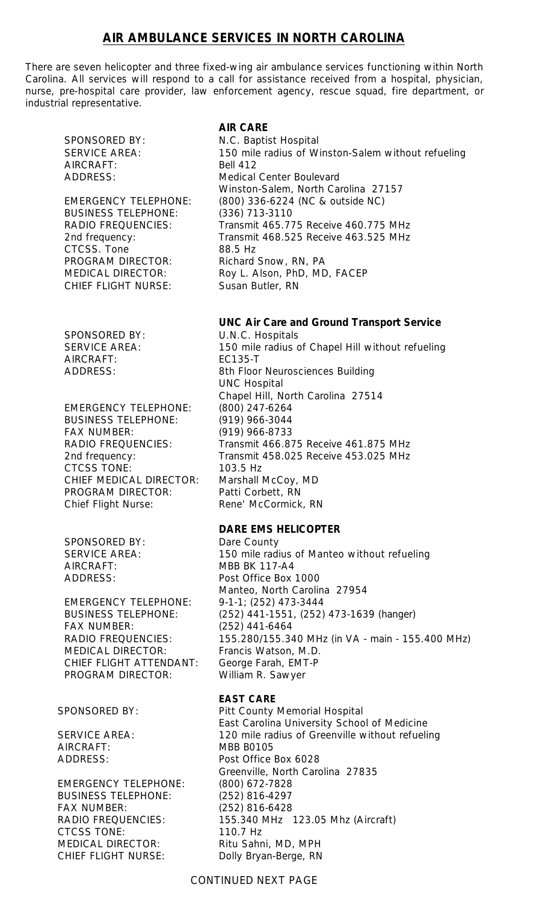# **AIR AMBULANCE SERVICES IN NORTH CAROLINA**

There are seven helicopter and three fixed-wing air ambulance services functioning within North Carolina. All services will respond to a call for assistance received from a hospital, physician, nurse, pre-hospital care provider, law enforcement agency, rescue squad, fire department, or industrial representative.

AIRCRAFT: Bell 412

BUSINESS TELEPHONE: (336) 713-3110 CTCSS. Tone 88.5 Hz PROGRAM DIRECTOR: Richard Snow, RN, PA CHIEF FLIGHT NURSE: Susan Butler, RN

SPONSORED BY: U.N.C. Hospitals AIRCRAFT: EC135-T

EMERGENCY TELEPHONE: (800) 247-6264 BUSINESS TELEPHONE: (919) 966-3044 FAX NUMBER: (919) 966-8733 CTCSS TONE: 103.5 Hz CHIEF MEDICAL DIRECTOR: Marshall McCoy, MD PROGRAM DIRECTOR: Patti Corbett, RN Chief Flight Nurse: Rene' McCormick, RN

SPONSORED BY: Dare County AIRCRAFT: MBB BK 117-A4

EMERGENCY TELEPHONE: 9-1-1; (252) 473-3444 FAX NUMBER: (252) 441-6464 MEDICAL DIRECTOR: Francis Watson, M.D. CHIEF FLIGHT ATTENDANT: George Farah, EMT-P PROGRAM DIRECTOR: William R. Sawyer

AIRCRAFT: MBB B0105

EMERGENCY TELEPHONE: (800) 672-7828 BUSINESS TELEPHONE: (252) 816-4297 FAX NUMBER: (252) 816-6428 CTCSS TONE: 110.7 Hz MEDICAL DIRECTOR: Ritu Sahni, MD, MPH CHIEF FLIGHT NURSE: Dolly Bryan-Berge, RN

# **AIR CARE**

SPONSORED BY: N.C. Baptist Hospital SERVICE AREA: 150 mile radius of Winston-Salem without refueling ADDRESS: Medical Center Boulevard Winston-Salem, North Carolina 27157 EMERGENCY TELEPHONE: (800) 336-6224 (NC & outside NC) RADIO FREQUENCIES: Transmit 465.775 Receive 460.775 MHz 2nd frequency: Transmit 468.525 Receive 463.525 MHz MEDICAL DIRECTOR: Roy L. Alson, PhD, MD, FACEP

## **UNC Air Care and Ground Transport Service**

SERVICE AREA: 150 mile radius of Chapel Hill without refueling ADDRESS: 8th Floor Neurosciences Building UNC Hospital Chapel Hill, North Carolina 27514 RADIO FREQUENCIES: Transmit 466.875 Receive 461.875 MHz 2nd frequency: Transmit 458.025 Receive 453.025 MHz

# **DARE EMS HELICOPTER**

SERVICE AREA: 150 mile radius of Manteo without refueling ADDRESS: Post Office Box 1000 Manteo, North Carolina 27954 BUSINESS TELEPHONE: (252) 441-1551, (252) 473-1639 (hanger) RADIO FREQUENCIES: 155.280/155.340 MHz (in VA - main - 155.400 MHz)

## **EAST CARE**

SPONSORED BY: Pitt County Memorial Hospital East Carolina University School of Medicine SERVICE AREA: 120 mile radius of Greenville without refueling ADDRESS: Post Office Box 6028 Greenville, North Carolina 27835 RADIO FREQUENCIES: 155.340 MHz 123.05 Mhz (Aircraft)

## CONTINUED NEXT PAGE